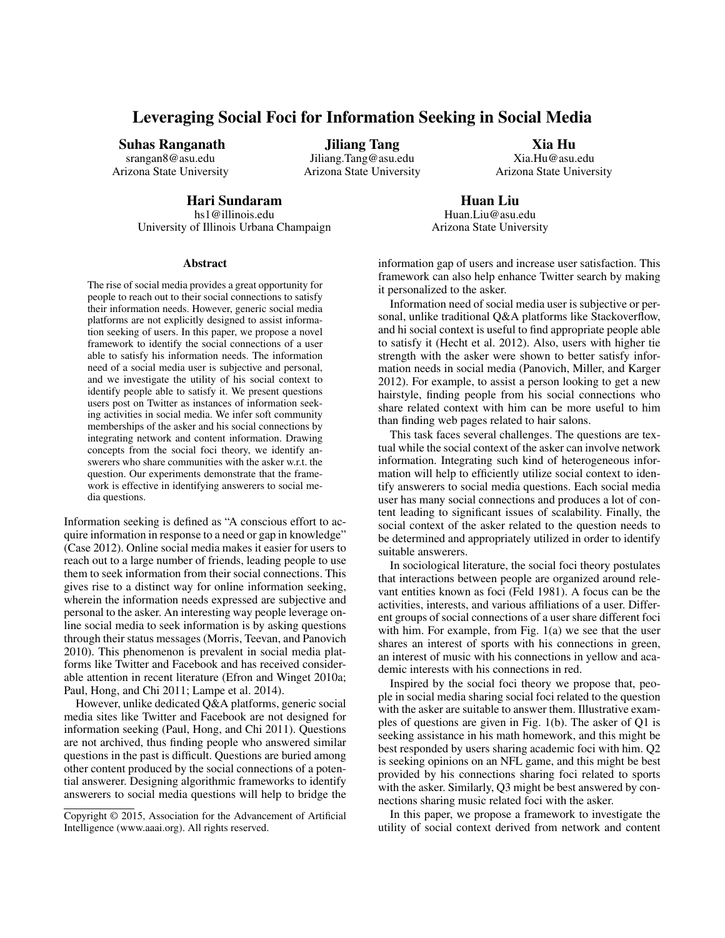# Leveraging Social Foci for Information Seeking in Social Media

Suhas Ranganath

srangan8@asu.edu Arizona State University

Jiliang Tang Jiliang.Tang@asu.edu Arizona State University

Xia Hu Xia.Hu@asu.edu Arizona State University

# Hari Sundaram

hs1@illinois.edu University of Illinois Urbana Champaign

Huan Liu Huan.Liu@asu.edu Arizona State University

## Abstract

The rise of social media provides a great opportunity for people to reach out to their social connections to satisfy their information needs. However, generic social media platforms are not explicitly designed to assist information seeking of users. In this paper, we propose a novel framework to identify the social connections of a user able to satisfy his information needs. The information need of a social media user is subjective and personal, and we investigate the utility of his social context to identify people able to satisfy it. We present questions users post on Twitter as instances of information seeking activities in social media. We infer soft community memberships of the asker and his social connections by integrating network and content information. Drawing concepts from the social foci theory, we identify answerers who share communities with the asker w.r.t. the question. Our experiments demonstrate that the framework is effective in identifying answerers to social media questions.

Information seeking is defined as "A conscious effort to acquire information in response to a need or gap in knowledge" (Case 2012). Online social media makes it easier for users to reach out to a large number of friends, leading people to use them to seek information from their social connections. This gives rise to a distinct way for online information seeking, wherein the information needs expressed are subjective and personal to the asker. An interesting way people leverage online social media to seek information is by asking questions through their status messages (Morris, Teevan, and Panovich 2010). This phenomenon is prevalent in social media platforms like Twitter and Facebook and has received considerable attention in recent literature (Efron and Winget 2010a; Paul, Hong, and Chi 2011; Lampe et al. 2014).

However, unlike dedicated Q&A platforms, generic social media sites like Twitter and Facebook are not designed for information seeking (Paul, Hong, and Chi 2011). Questions are not archived, thus finding people who answered similar questions in the past is difficult. Questions are buried among other content produced by the social connections of a potential answerer. Designing algorithmic frameworks to identify answerers to social media questions will help to bridge the information gap of users and increase user satisfaction. This framework can also help enhance Twitter search by making it personalized to the asker.

Information need of social media user is subjective or personal, unlike traditional Q&A platforms like Stackoverflow, and hi social context is useful to find appropriate people able to satisfy it (Hecht et al. 2012). Also, users with higher tie strength with the asker were shown to better satisfy information needs in social media (Panovich, Miller, and Karger 2012). For example, to assist a person looking to get a new hairstyle, finding people from his social connections who share related context with him can be more useful to him than finding web pages related to hair salons.

This task faces several challenges. The questions are textual while the social context of the asker can involve network information. Integrating such kind of heterogeneous information will help to efficiently utilize social context to identify answerers to social media questions. Each social media user has many social connections and produces a lot of content leading to significant issues of scalability. Finally, the social context of the asker related to the question needs to be determined and appropriately utilized in order to identify suitable answerers.

In sociological literature, the social foci theory postulates that interactions between people are organized around relevant entities known as foci (Feld 1981). A focus can be the activities, interests, and various affiliations of a user. Different groups of social connections of a user share different foci with him. For example, from Fig. 1(a) we see that the user shares an interest of sports with his connections in green, an interest of music with his connections in yellow and academic interests with his connections in red.

Inspired by the social foci theory we propose that, people in social media sharing social foci related to the question with the asker are suitable to answer them. Illustrative examples of questions are given in Fig. 1(b). The asker of Q1 is seeking assistance in his math homework, and this might be best responded by users sharing academic foci with him. Q2 is seeking opinions on an NFL game, and this might be best provided by his connections sharing foci related to sports with the asker. Similarly, Q3 might be best answered by connections sharing music related foci with the asker.

In this paper, we propose a framework to investigate the utility of social context derived from network and content

Copyright © 2015, Association for the Advancement of Artificial Intelligence (www.aaai.org). All rights reserved.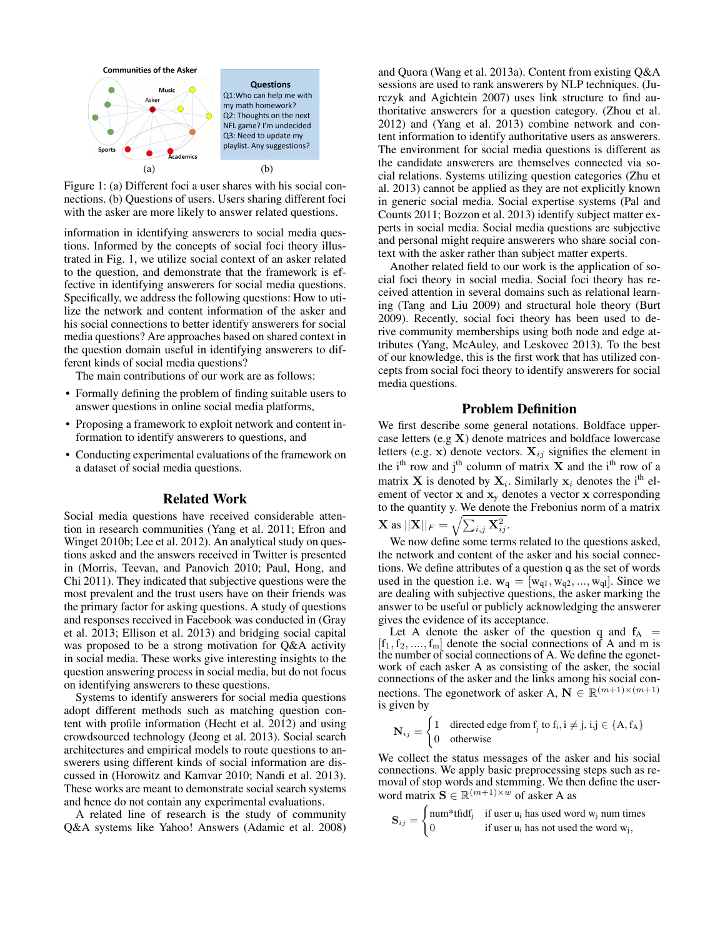

Figure 1: (a) Different foci a user shares with his social connections. (b) Questions of users. Users sharing different foci with the asker are more likely to answer related questions.

information in identifying answerers to social media questions. Informed by the concepts of social foci theory illustrated in Fig. 1, we utilize social context of an asker related to the question, and demonstrate that the framework is effective in identifying answerers for social media questions. Specifically, we address the following questions: How to utilize the network and content information of the asker and his social connections to better identify answerers for social media questions? Are approaches based on shared context in the question domain useful in identifying answerers to different kinds of social media questions?

The main contributions of our work are as follows:

- Formally defining the problem of finding suitable users to answer questions in online social media platforms,
- Proposing a framework to exploit network and content information to identify answerers to questions, and
- Conducting experimental evaluations of the framework on a dataset of social media questions.

## Related Work

Social media questions have received considerable attention in research communities (Yang et al. 2011; Efron and Winget 2010b; Lee et al. 2012). An analytical study on questions asked and the answers received in Twitter is presented in (Morris, Teevan, and Panovich 2010; Paul, Hong, and Chi 2011). They indicated that subjective questions were the most prevalent and the trust users have on their friends was the primary factor for asking questions. A study of questions and responses received in Facebook was conducted in (Gray et al. 2013; Ellison et al. 2013) and bridging social capital was proposed to be a strong motivation for Q&A activity in social media. These works give interesting insights to the question answering process in social media, but do not focus on identifying answerers to these questions.

Systems to identify answerers for social media questions adopt different methods such as matching question content with profile information (Hecht et al. 2012) and using crowdsourced technology (Jeong et al. 2013). Social search architectures and empirical models to route questions to answerers using different kinds of social information are discussed in (Horowitz and Kamvar 2010; Nandi et al. 2013). These works are meant to demonstrate social search systems and hence do not contain any experimental evaluations.

A related line of research is the study of community Q&A systems like Yahoo! Answers (Adamic et al. 2008)

and Quora (Wang et al. 2013a). Content from existing Q&A sessions are used to rank answerers by NLP techniques. (Jurczyk and Agichtein 2007) uses link structure to find authoritative answerers for a question category. (Zhou et al. 2012) and (Yang et al. 2013) combine network and content information to identify authoritative users as answerers. The environment for social media questions is different as the candidate answerers are themselves connected via social relations. Systems utilizing question categories (Zhu et al. 2013) cannot be applied as they are not explicitly known in generic social media. Social expertise systems (Pal and Counts 2011; Bozzon et al. 2013) identify subject matter experts in social media. Social media questions are subjective and personal might require answerers who share social context with the asker rather than subject matter experts.

Another related field to our work is the application of social foci theory in social media. Social foci theory has received attention in several domains such as relational learning (Tang and Liu 2009) and structural hole theory (Burt 2009). Recently, social foci theory has been used to derive community memberships using both node and edge attributes (Yang, McAuley, and Leskovec 2013). To the best of our knowledge, this is the first work that has utilized concepts from social foci theory to identify answerers for social media questions.

# Problem Definition

We first describe some general notations. Boldface uppercase letters (e.g X) denote matrices and boldface lowercase letters (e.g. x) denote vectors.  $X_{ij}$  signifies the element in the i<sup>th</sup> row and j<sup>th</sup> column of matrix  $X$  and the i<sup>th</sup> row of a matrix **X** is denoted by  $X_i$ . Similarly  $x_i$  denotes the i<sup>th</sup> element of vector  $x$  and  $x<sub>y</sub>$  denotes a vector  $x$  corresponding to the quantity y. We denote the Frebonius norm of a matrix  $\mathbf{X} \text{ as } ||\mathbf{X}||_F = \sqrt{\sum_{i,j} \mathbf{X}_{ij}^2}.$ 

We now define some terms related to the questions asked, the network and content of the asker and his social connections. We define attributes of a question q as the set of words used in the question i.e.  $\mathbf{w}_q = [\mathbf{w}_{q1}, \mathbf{w}_{q2}, ..., \mathbf{w}_{ql}]$ . Since we are dealing with subjective questions, the asker marking the answer to be useful or publicly acknowledging the answerer gives the evidence of its acceptance.

Let A denote the asker of the question q and  $f_A$  =  $[f_1, f_2, \ldots, f_m]$  denote the social connections of A and m is the number of social connections of A. We define the egonetwork of each asker A as consisting of the asker, the social connections of the asker and the links among his social connections. The egonetwork of asker A,  $\mathbf{N} \in \mathbb{R}^{(m+1)\times(m+1)}$ is given by

$$
\mathbf{N}_{ij} = \begin{cases} 1 & \text{directed edge from } f_j \text{ to } f_i, i \neq j, i, j \in \{A, f_A\} \\ 0 & \text{otherwise} \end{cases}
$$

We collect the status messages of the asker and his social connections. We apply basic preprocessing steps such as removal of stop words and stemming. We then define the userword matrix  $\mathbf{S} \in \mathbb{R}^{(m+1) \times w}$  of asker A as

$$
\mathbf{S}_{ij} = \begin{cases} \text{num*tfidf}_j & \text{if user } u_i \text{ has used word } w_j \text{ num times} \\ 0 & \text{if user } u_i \text{ has not used the word } w_j, \end{cases}
$$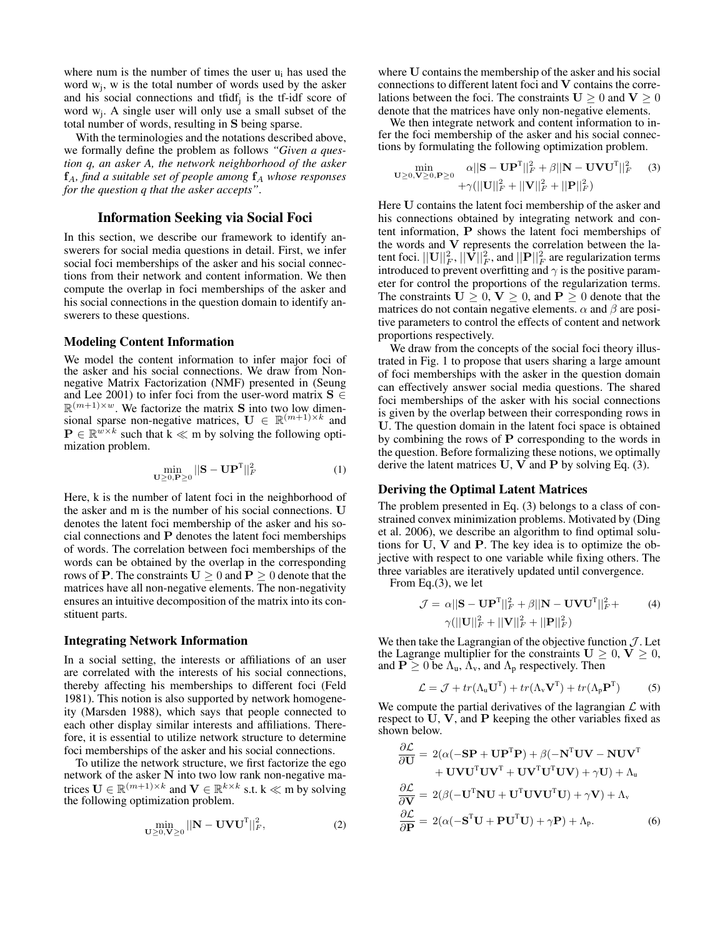where num is the number of times the user  $u_i$  has used the word  $w_j$ , w is the total number of words used by the asker and his social connections and tfid $f_j$  is the tf-idf score of word  $w_j$ . A single user will only use a small subset of the total number of words, resulting in S being sparse.

With the terminologies and the notations described above, we formally define the problem as follows *"Given a question q, an asker A, the network neighborhood of the asker*  $f_A$ *, find a suitable set of people among*  $f_A$  *whose responses for the question q that the asker accepts"*.

# Information Seeking via Social Foci

In this section, we describe our framework to identify answerers for social media questions in detail. First, we infer social foci memberships of the asker and his social connections from their network and content information. We then compute the overlap in foci memberships of the asker and his social connections in the question domain to identify answerers to these questions.

#### Modeling Content Information

We model the content information to infer major foci of the asker and his social connections. We draw from Nonnegative Matrix Factorization (NMF) presented in (Seung and Lee 2001) to infer foci from the user-word matrix  $S \in$  $\mathbb{R}^{(m+1)\times w}$ . We factorize the matrix **S** into two low dimensional sparse non-negative matrices,  $\mathbf{U} \in \mathbb{R}^{(m+1)\times k}$  and  $\mathbf{P} \in \mathbb{R}^{w \times k}$  such that  $k \ll m$  by solving the following optimization problem.

$$
\min_{\mathbf{U}\geq 0,\mathbf{P}\geq 0} ||\mathbf{S} - \mathbf{U}\mathbf{P}^{\mathrm{T}}||_F^2 \tag{1}
$$

Here, k is the number of latent foci in the neighborhood of the asker and m is the number of his social connections. U denotes the latent foci membership of the asker and his social connections and  $P$  denotes the latent foci memberships of words. The correlation between foci memberships of the words can be obtained by the overlap in the corresponding rows of **P**. The constraints  $U \ge 0$  and  $P \ge 0$  denote that the matrices have all non-negative elements. The non-negativity ensures an intuitive decomposition of the matrix into its constituent parts.

#### Integrating Network Information

In a social setting, the interests or affiliations of an user are correlated with the interests of his social connections, thereby affecting his memberships to different foci (Feld 1981). This notion is also supported by network homogeneity (Marsden 1988), which says that people connected to each other display similar interests and affiliations. Therefore, it is essential to utilize network structure to determine foci memberships of the asker and his social connections.

To utilize the network structure, we first factorize the ego network of the asker N into two low rank non-negative matrices  $\mathbf{U} \in \mathbb{R}^{(m+1)\times k}$  and  $\mathbf{V} \in \mathbb{R}^{k\times k}$  s.t.  $k \ll m$  by solving the following optimization problem.

$$
\min_{\mathbf{U}\geq0,\mathbf{V}\geq0}||\mathbf{N}-\mathbf{U}\mathbf{V}\mathbf{U}^{\mathrm{T}}||_F^2,
$$
\n(2)

where U contains the membership of the asker and his social connections to different latent foci and V contains the correlations between the foci. The constraints  $U \ge 0$  and  $V \ge 0$ denote that the matrices have only non-negative elements.

We then integrate network and content information to infer the foci membership of the asker and his social connections by formulating the following optimization problem.

$$
\min_{\mathbf{U}\geq0,\mathbf{V}\geq0,\mathbf{P}\geq0} \frac{\alpha||\mathbf{S}-\mathbf{U}\mathbf{P}^{\mathrm{T}}||_{F}^{2} + \beta||\mathbf{N}-\mathbf{U}\mathbf{V}\mathbf{U}^{\mathrm{T}}||_{F}^{2}}{+\gamma(||\mathbf{U}||_{F}^{2}+||\mathbf{V}||_{F}^{2}+||\mathbf{P}||_{F}^{2})}
$$
(3)

Here U contains the latent foci membership of the asker and his connections obtained by integrating network and content information, P shows the latent foci memberships of the words and V represents the correlation between the latent foci.  $||\mathbf{U}||_F^2, ||\mathbf{V}||_F^2,$  and  $||\mathbf{P}||_F^2$  are regularization terms introduced to prevent overfitting and  $\gamma$  is the positive parameter for control the proportions of the regularization terms. The constraints  $U > 0$ ,  $V > 0$ , and  $P > 0$  denote that the matrices do not contain negative elements.  $\alpha$  and  $\beta$  are positive parameters to control the effects of content and network proportions respectively.

We draw from the concepts of the social foci theory illustrated in Fig. 1 to propose that users sharing a large amount of foci memberships with the asker in the question domain can effectively answer social media questions. The shared foci memberships of the asker with his social connections is given by the overlap between their corresponding rows in U. The question domain in the latent foci space is obtained by combining the rows of  $P$  corresponding to the words in the question. Before formalizing these notions, we optimally derive the latent matrices  $U, V$  and  $P$  by solving Eq. (3).

# Deriving the Optimal Latent Matrices

The problem presented in Eq. (3) belongs to a class of constrained convex minimization problems. Motivated by (Ding et al. 2006), we describe an algorithm to find optimal solutions for U, V and P. The key idea is to optimize the objective with respect to one variable while fixing others. The three variables are iteratively updated until convergence.

From Eq.(3), we let

$$
\mathcal{J} = \alpha ||\mathbf{S} - \mathbf{U} \mathbf{P}^{T}||_{F}^{2} + \beta ||\mathbf{N} - \mathbf{U} \mathbf{V} \mathbf{U}^{T}||_{F}^{2} +
$$
  
 
$$
\gamma (||\mathbf{U}||_{F}^{2} + ||\mathbf{V}||_{F}^{2} + ||\mathbf{P}||_{F}^{2})
$$
 (4)

We then take the Lagrangian of the objective function  $\mathcal{J}$ . Let the Lagrange multiplier for the constraints  $U \geq 0$ ,  $V \geq 0$ , and  $P \ge 0$  be  $\Lambda_u$ ,  $\Lambda_v$ , and  $\Lambda_p$  respectively. Then

$$
\mathcal{L} = \mathcal{J} + tr(\Lambda_{\mathbf{u}} \mathbf{U}^{\mathrm{T}}) + tr(\Lambda_{\mathbf{v}} \mathbf{V}^{\mathrm{T}}) + tr(\Lambda_{\mathbf{p}} \mathbf{P}^{\mathrm{T}})
$$
 (5)

We compute the partial derivatives of the lagrangian  $\mathcal L$  with respect to U, V, and P keeping the other variables fixed as shown below.

$$
\frac{\partial \mathcal{L}}{\partial \mathbf{U}} = 2(\alpha(-\mathbf{SP} + \mathbf{UP}^{\mathrm{T}}\mathbf{P}) + \beta(-\mathbf{N}^{\mathrm{T}}\mathbf{UV} - \mathbf{NUV}^{\mathrm{T}} + \mathbf{UV}\mathbf{UV}^{\mathrm{T}}\mathbf{UV}^{\mathrm{T}} + \mathbf{UV}\mathbf{V}^{\mathrm{T}}\mathbf{UV} + \gamma\mathbf{U}) + \gamma\mathbf{U} + \Lambda_{\mathrm{u}}
$$

$$
\frac{\partial \mathcal{L}}{\partial \mathbf{V}} = 2(\beta(-\mathbf{U}^{\mathrm{T}}\mathbf{NU} + \mathbf{U}^{\mathrm{T}}\mathbf{UV}\mathbf{U}^{\mathrm{T}}\mathbf{U}) + \gamma\mathbf{V}) + \Lambda_{\mathrm{v}}
$$

$$
\frac{\partial \mathcal{L}}{\partial \mathbf{P}} = 2(\alpha(-\mathbf{S}^{\mathrm{T}}\mathbf{U} + \mathbf{PU}^{\mathrm{T}}\mathbf{U}) + \gamma\mathbf{P}) + \Lambda_{\mathrm{p}}.
$$
(6)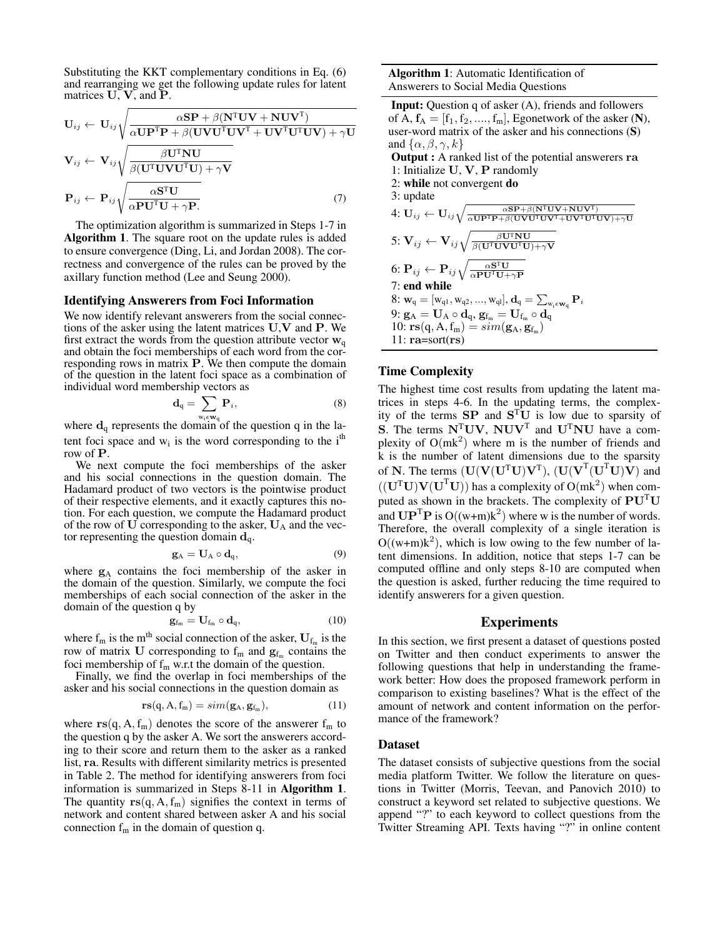Substituting the KKT complementary conditions in Eq. (6) and rearranging we get the following update rules for latent matrices  $U, V,$  and  $P$ .

$$
\mathbf{U}_{ij} \leftarrow \mathbf{U}_{ij} \sqrt{\frac{\alpha \mathbf{S} \mathbf{P} + \beta (\mathbf{N}^{\mathrm{T}} \mathbf{U} \mathbf{V} + \mathbf{N} \mathbf{U} \mathbf{V}^{\mathrm{T}})}{\alpha \mathbf{U} \mathbf{P}^{\mathrm{T}} \mathbf{P} + \beta (\mathbf{U} \mathbf{V} \mathbf{U}^{\mathrm{T}} \mathbf{U} \mathbf{V}^{\mathrm{T}} + \mathbf{U} \mathbf{V}^{\mathrm{T}} \mathbf{U} \mathbf{V} \mathbf{V}) + \gamma \mathbf{U}}}
$$
\n
$$
\mathbf{V}_{ij} \leftarrow \mathbf{V}_{ij} \sqrt{\frac{\beta \mathbf{U}^{\mathrm{T}} \mathbf{N} \mathbf{U}}{\beta (\mathbf{U}^{\mathrm{T}} \mathbf{U} \mathbf{V} \mathbf{U}^{\mathrm{T}} \mathbf{U}) + \gamma \mathbf{V}}}
$$
\n
$$
\mathbf{P}_{ij} \leftarrow \mathbf{P}_{ij} \sqrt{\frac{\alpha \mathbf{S}^{\mathrm{T}} \mathbf{U}}{\alpha \mathbf{P} \mathbf{U}^{\mathrm{T}} \mathbf{U} + \gamma \mathbf{P}}}. \tag{7}
$$

The optimization algorithm is summarized in Steps 1-7 in Algorithm 1. The square root on the update rules is added to ensure convergence (Ding, Li, and Jordan 2008). The correctness and convergence of the rules can be proved by the axillary function method (Lee and Seung 2000).

#### Identifying Answerers from Foci Information

We now identify relevant answerers from the social connections of the asker using the latent matrices U,V and P. We first extract the words from the question attribute vector  $w_{q}$ and obtain the foci memberships of each word from the corresponding rows in matrix P. We then compute the domain of the question in the latent foci space as a combination of individual word membership vectors as

$$
\mathbf{d}_{q} = \sum_{\mathbf{w}_{i} \in \mathbf{w}_{n}} \mathbf{P}_{i},\tag{8}
$$

where  $\mathbf{d}_q$  represents the domain of the question q in the latent foci space and  $w_i$  is the word corresponding to the i<sup>th</sup> row of P.

We next compute the foci memberships of the asker and his social connections in the question domain. The Hadamard product of two vectors is the pointwise product of their respective elements, and it exactly captures this notion. For each question, we compute the Hadamard product of the row of  **corresponding to the asker,**  $**U**<sub>A</sub>$  **and the vec**tor representing the question domain  $\mathbf{d}_{q}$ .

$$
\mathbf{g}_{A} = \mathbf{U}_{A} \circ \mathbf{d}_{q},\tag{9}
$$

where  $g_A$  contains the foci membership of the asker in the domain of the question. Similarly, we compute the foci memberships of each social connection of the asker in the domain of the question q by

$$
\mathbf{g}_{f_m} = \mathbf{U}_{f_m} \circ \mathbf{d}_q, \tag{10}
$$

where  $f_m$  is the m<sup>th</sup> social connection of the asker,  $U_{f_m}$  is the row of matrix U corresponding to  $f_m$  and  $g_{f_m}$  contains the foci membership of  $f_m$  w.r.t the domain of the question.

Finally, we find the overlap in foci memberships of the asker and his social connections in the question domain as

$$
rs(q, A, f_m) = sim(g_A, g_{f_m}), \qquad (11)
$$

where  $rs(q, A, f<sub>m</sub>)$  denotes the score of the answerer  $f<sub>m</sub>$  to the question q by the asker A. We sort the answerers according to their score and return them to the asker as a ranked list, ra. Results with different similarity metrics is presented in Table 2. The method for identifying answerers from foci information is summarized in Steps 8-11 in Algorithm 1. The quantity  $rs(q, A, f_m)$  signifies the context in terms of network and content shared between asker A and his social connection  $f_m$  in the domain of question q.

Input: Question q of asker (A), friends and followers of A,  $f_A = [f_1, f_2, \dots, f_m]$ , Egonetwork of the asker (N), user-word matrix of the asker and his connections (S) and  $\{\alpha, \beta, \gamma, k\}$ Output : A ranked list of the potential answerers ra 1: Initialize U, V, P randomly 2: while not convergent do 3: update  $4{:}\ \mathbf{U}_{ij} \leftarrow \mathbf{U}_{ij}\sqrt{\frac{\alpha\mathbf{S}\mathbf{P} + \beta(\mathbf{N}^{\text{T}}\mathbf{U}\mathbf{V} + \mathbf{N}\mathbf{U}\mathbf{V}^{\text{T}})}{\alpha\mathbf{U}\mathbf{P}^{\text{T}}\mathbf{P} + \beta(\mathbf{U}\mathbf{V}\mathbf{U}^{\text{T}}\mathbf{U}\mathbf{V}^{\text{T}} + \mathbf{U}\mathbf{V}^{\text{T}}\mathbf{U}\mathbf{V}) + \gamma\mathbf{U}}}$  $\mathbf{5: V}_{ij} \leftarrow \mathbf{V}_{ij} \sqrt{\frac{\beta \mathbf{U}^{\text{T}}\mathbf{N}\mathbf{U}}{\beta (\mathbf{U}^{\text{T}}\mathbf{U}\mathbf{V}\mathbf{U}^{\text{T}}\mathbf{U}) + \gamma \mathbf{V}}}$ 6:  $\mathrm{P}_{ij} \leftarrow \mathrm{P}_{ij} \sqrt{\frac{\alpha \mathrm{S}^\mathrm{T} \mathrm{U}}{\alpha \mathrm{PU}^\mathrm{T} \mathrm{U} + \gamma \mathrm{P}}}$ 7: end while  $8: \mathbf{w}_{\text{q}} = [\mathrm{w}_{\text{q}1}, \mathrm{w}_{\text{q}2}, ..., \mathrm{w}_{\text{q}l}], \mathbf{d}_{\text{q}} = \sum_{\mathrm{w}_{\text{i}} \in \mathbf{w}_{\text{q}}} \mathbf{P}_{i}$  $9: \mathbf{g}_\mathrm{A} = \mathbf{U}_\mathrm{A} \circ \mathbf{d}_\mathrm{q}, \, \mathbf{g}_{\mathrm{f}_\mathrm{m}} = \mathbf{U}_{\mathrm{f}_\mathrm{m}} \circ \mathbf{d}_\mathrm{q}$ 10:  $\mathbf{rs}(q, A, f_m) = sim(\mathbf{g}_A, \mathbf{g}_{f_m})$ 11:  $ra = sort(rs)$ 

# Time Complexity

The highest time cost results from updating the latent matrices in steps 4-6. In the updating terms, the complexity of the terms  $SP$  and  $S<sup>T</sup>U$  is low due to sparsity of S. The terms  $N^{\text{T}}UV$ ,  $NUV^{\text{T}}$  and  $U^{\text{T}}NU$  have a complexity of  $O(mk^2)$  where m is the number of friends and k is the number of latent dimensions due to the sparsity of N. The terms  $(U(V(U<sup>T</sup>U)V<sup>T</sup>), (U(V<sup>T</sup>(U<sup>T</sup>U)V)$  and  $((\mathbf{U}^T \mathbf{U}) \mathbf{V} (\mathbf{U}^T \mathbf{U}))$  has a complexity of  $\mathbf{O}(\mathbf{m}\mathbf{k}^2)$  when computed as shown in the brackets. The complexity of  $PU<sup>T</sup>U$ and  $\mathbf{UP}^{\mathrm{T}}\mathbf{P}$  is  $O((w+m)k^2)$  where w is the number of words. Therefore, the overall complexity of a single iteration is  $O((w+m)k^2)$ , which is low owing to the few number of latent dimensions. In addition, notice that steps 1-7 can be computed offline and only steps 8-10 are computed when the question is asked, further reducing the time required to identify answerers for a given question.

## Experiments

In this section, we first present a dataset of questions posted on Twitter and then conduct experiments to answer the following questions that help in understanding the framework better: How does the proposed framework perform in comparison to existing baselines? What is the effect of the amount of network and content information on the performance of the framework?

#### Dataset

The dataset consists of subjective questions from the social media platform Twitter. We follow the literature on questions in Twitter (Morris, Teevan, and Panovich 2010) to construct a keyword set related to subjective questions. We append "?" to each keyword to collect questions from the Twitter Streaming API. Texts having "?" in online content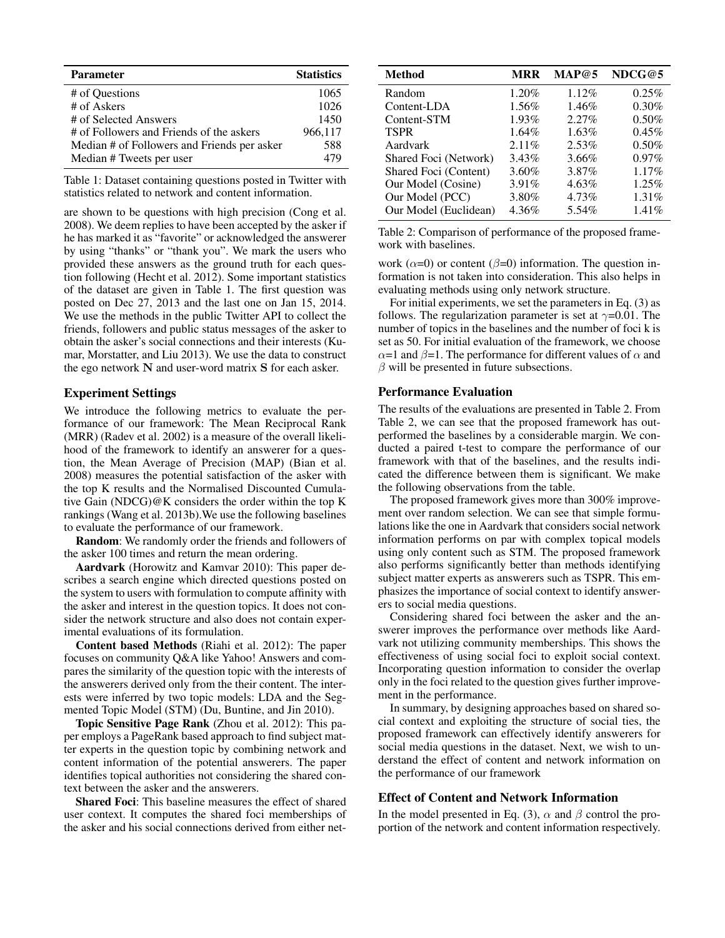| <b>Parameter</b>                            | <b>Statistics</b> |
|---------------------------------------------|-------------------|
| # of Ouestions                              | 1065              |
| # of Askers                                 | 1026              |
| # of Selected Answers                       | 1450              |
| # of Followers and Friends of the askers    | 966,117           |
| Median # of Followers and Friends per asker | 588               |
| Median # Tweets per user                    | 479               |

Table 1: Dataset containing questions posted in Twitter with statistics related to network and content information.

are shown to be questions with high precision (Cong et al. 2008). We deem replies to have been accepted by the asker if he has marked it as "favorite" or acknowledged the answerer by using "thanks" or "thank you". We mark the users who provided these answers as the ground truth for each question following (Hecht et al. 2012). Some important statistics of the dataset are given in Table 1. The first question was posted on Dec 27, 2013 and the last one on Jan 15, 2014. We use the methods in the public Twitter API to collect the friends, followers and public status messages of the asker to obtain the asker's social connections and their interests (Kumar, Morstatter, and Liu 2013). We use the data to construct the ego network N and user-word matrix S for each asker.

# Experiment Settings

We introduce the following metrics to evaluate the performance of our framework: The Mean Reciprocal Rank (MRR) (Radev et al. 2002) is a measure of the overall likelihood of the framework to identify an answerer for a question, the Mean Average of Precision (MAP) (Bian et al. 2008) measures the potential satisfaction of the asker with the top K results and the Normalised Discounted Cumulative Gain (NDCG)@K considers the order within the top K rankings (Wang et al. 2013b).We use the following baselines to evaluate the performance of our framework.

Random: We randomly order the friends and followers of the asker 100 times and return the mean ordering.

Aardvark (Horowitz and Kamvar 2010): This paper describes a search engine which directed questions posted on the system to users with formulation to compute affinity with the asker and interest in the question topics. It does not consider the network structure and also does not contain experimental evaluations of its formulation.

Content based Methods (Riahi et al. 2012): The paper focuses on community Q&A like Yahoo! Answers and compares the similarity of the question topic with the interests of the answerers derived only from the their content. The interests were inferred by two topic models: LDA and the Segmented Topic Model (STM) (Du, Buntine, and Jin 2010).

Topic Sensitive Page Rank (Zhou et al. 2012): This paper employs a PageRank based approach to find subject matter experts in the question topic by combining network and content information of the potential answerers. The paper identifies topical authorities not considering the shared context between the asker and the answerers.

Shared Foci: This baseline measures the effect of shared user context. It computes the shared foci memberships of the asker and his social connections derived from either net-

| Method                | <b>MRR</b> | MAP@5    | NDCG@5 |
|-----------------------|------------|----------|--------|
| Random                | 1.20%      | $1.12\%$ | 0.25%  |
| Content-LDA           | 1.56%      | 1.46%    | 0.30%  |
| Content-STM           | 1.93%      | 2.27%    | 0.50%  |
| <b>TSPR</b>           | $1.64\%$   | 1.63%    | 0.45%  |
| Aardvark              | $2.11\%$   | 2.53%    | 0.50%  |
| Shared Foci (Network) | 3.43%      | 3.66%    | 0.97%  |
| Shared Foci (Content) | 3.60%      | 3.87%    | 1.17%  |
| Our Model (Cosine)    | 3.91%      | 4.63%    | 1.25%  |
| Our Model (PCC)       | 3.80%      | 4.73%    | 1.31%  |
| Our Model (Euclidean) | 4.36%      | 5.54%    | 1.41%  |

Table 2: Comparison of performance of the proposed framework with baselines.

work ( $\alpha$ =0) or content ( $\beta$ =0) information. The question information is not taken into consideration. This also helps in evaluating methods using only network structure.

For initial experiments, we set the parameters in Eq. (3) as follows. The regularization parameter is set at  $\gamma$ =0.01. The number of topics in the baselines and the number of foci k is set as 50. For initial evaluation of the framework, we choose  $\alpha$ =1 and  $\beta$ =1. The performance for different values of  $\alpha$  and  $\beta$  will be presented in future subsections.

# Performance Evaluation

The results of the evaluations are presented in Table 2. From Table 2, we can see that the proposed framework has outperformed the baselines by a considerable margin. We conducted a paired t-test to compare the performance of our framework with that of the baselines, and the results indicated the difference between them is significant. We make the following observations from the table.

The proposed framework gives more than 300% improvement over random selection. We can see that simple formulations like the one in Aardvark that considers social network information performs on par with complex topical models using only content such as STM. The proposed framework also performs significantly better than methods identifying subject matter experts as answerers such as TSPR. This emphasizes the importance of social context to identify answerers to social media questions.

Considering shared foci between the asker and the answerer improves the performance over methods like Aardvark not utilizing community memberships. This shows the effectiveness of using social foci to exploit social context. Incorporating question information to consider the overlap only in the foci related to the question gives further improvement in the performance.

In summary, by designing approaches based on shared social context and exploiting the structure of social ties, the proposed framework can effectively identify answerers for social media questions in the dataset. Next, we wish to understand the effect of content and network information on the performance of our framework

## Effect of Content and Network Information

In the model presented in Eq. (3),  $\alpha$  and  $\beta$  control the proportion of the network and content information respectively.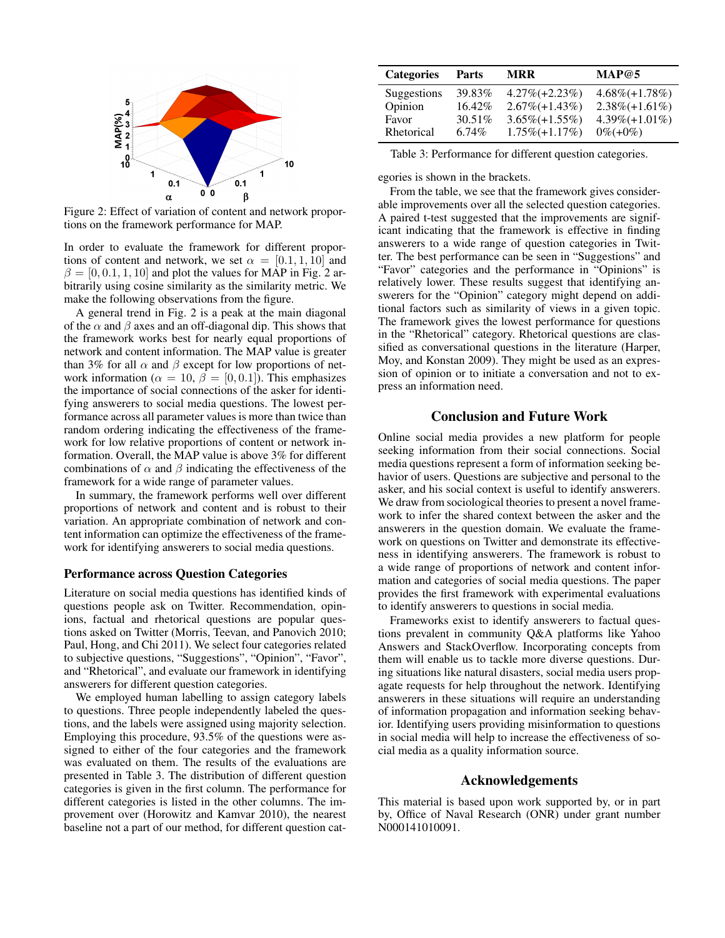

Figure 2: Effect of variation of content and network proportions on the framework performance for MAP.

In order to evaluate the framework for different proportions of content and network, we set  $\alpha = [0.1, 1, 10]$  and  $\beta = [0, 0.1, 1, 10]$  and plot the values for MAP in Fig. 2 arbitrarily using cosine similarity as the similarity metric. We make the following observations from the figure.

A general trend in Fig. 2 is a peak at the main diagonal of the  $\alpha$  and  $\beta$  axes and an off-diagonal dip. This shows that the framework works best for nearly equal proportions of network and content information. The MAP value is greater than 3% for all  $\alpha$  and  $\beta$  except for low proportions of network information ( $\alpha = 10$ ,  $\beta = [0, 0.1]$ ). This emphasizes the importance of social connections of the asker for identifying answerers to social media questions. The lowest performance across all parameter values is more than twice than random ordering indicating the effectiveness of the framework for low relative proportions of content or network information. Overall, the MAP value is above 3% for different combinations of  $\alpha$  and  $\beta$  indicating the effectiveness of the framework for a wide range of parameter values.

In summary, the framework performs well over different proportions of network and content and is robust to their variation. An appropriate combination of network and content information can optimize the effectiveness of the framework for identifying answerers to social media questions.

### Performance across Question Categories

Literature on social media questions has identified kinds of questions people ask on Twitter. Recommendation, opinions, factual and rhetorical questions are popular questions asked on Twitter (Morris, Teevan, and Panovich 2010; Paul, Hong, and Chi 2011). We select four categories related to subjective questions, "Suggestions", "Opinion", "Favor", and "Rhetorical", and evaluate our framework in identifying answerers for different question categories.

We employed human labelling to assign category labels to questions. Three people independently labeled the questions, and the labels were assigned using majority selection. Employing this procedure, 93.5% of the questions were assigned to either of the four categories and the framework was evaluated on them. The results of the evaluations are presented in Table 3. The distribution of different question categories is given in the first column. The performance for different categories is listed in the other columns. The improvement over (Horowitz and Kamvar 2010), the nearest baseline not a part of our method, for different question cat-

| <b>Categories</b> | <b>Parts</b> | <b>MRR</b>        | MAP@5              |
|-------------------|--------------|-------------------|--------------------|
| Suggestions       | 39.83%       | $4.27\%(+2.23\%)$ | $4.68\% (+1.78\%)$ |
| Opinion           | 16.42%       | $2.67\%(+1.43\%)$ | $2.38\%(+1.61\%)$  |
| Favor             | $30.51\%$    | $3.65\%(+1.55\%)$ | $4.39\%(+1.01\%)$  |
| Rhetorical        | $6.74\%$     | $1.75\%(+1.17\%)$ | $0\%(+0\%)$        |

Table 3: Performance for different question categories.

egories is shown in the brackets.

From the table, we see that the framework gives considerable improvements over all the selected question categories. A paired t-test suggested that the improvements are significant indicating that the framework is effective in finding answerers to a wide range of question categories in Twitter. The best performance can be seen in "Suggestions" and "Favor" categories and the performance in "Opinions" is relatively lower. These results suggest that identifying answerers for the "Opinion" category might depend on additional factors such as similarity of views in a given topic. The framework gives the lowest performance for questions in the "Rhetorical" category. Rhetorical questions are classified as conversational questions in the literature (Harper, Moy, and Konstan 2009). They might be used as an expression of opinion or to initiate a conversation and not to express an information need.

# Conclusion and Future Work

Online social media provides a new platform for people seeking information from their social connections. Social media questions represent a form of information seeking behavior of users. Questions are subjective and personal to the asker, and his social context is useful to identify answerers. We draw from sociological theories to present a novel framework to infer the shared context between the asker and the answerers in the question domain. We evaluate the framework on questions on Twitter and demonstrate its effectiveness in identifying answerers. The framework is robust to a wide range of proportions of network and content information and categories of social media questions. The paper provides the first framework with experimental evaluations to identify answerers to questions in social media.

Frameworks exist to identify answerers to factual questions prevalent in community Q&A platforms like Yahoo Answers and StackOverflow. Incorporating concepts from them will enable us to tackle more diverse questions. During situations like natural disasters, social media users propagate requests for help throughout the network. Identifying answerers in these situations will require an understanding of information propagation and information seeking behavior. Identifying users providing misinformation to questions in social media will help to increase the effectiveness of social media as a quality information source.

# Acknowledgements

This material is based upon work supported by, or in part by, Office of Naval Research (ONR) under grant number N000141010091.